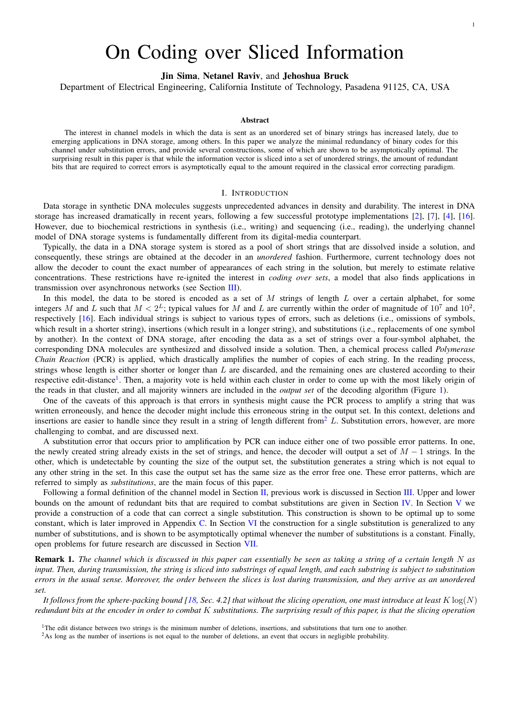# On Coding over Sliced Information

Jin Sima, Netanel Raviv, and Jehoshua Bruck

Department of Electrical Engineering, California Institute of Technology, Pasadena 91125, CA, USA

## Abstract

The interest in channel models in which the data is sent as an unordered set of binary strings has increased lately, due to emerging applications in DNA storage, among others. In this paper we analyze the minimal redundancy of binary codes for this channel under substitution errors, and provide several constructions, some of which are shown to be asymptotically optimal. The surprising result in this paper is that while the information vector is sliced into a set of unordered strings, the amount of redundant bits that are required to correct errors is asymptotically equal to the amount required in the classical error correcting paradigm.

#### I. INTRODUCTION

<span id="page-0-2"></span>Data storage in synthetic DNA molecules suggests unprecedented advances in density and durability. The interest in DNA storage has increased dramatically in recent years, following a few successful prototype implementations [\[2\]](#page-10-0), [\[7\]](#page-10-1), [\[4\]](#page-10-2), [\[16\]](#page-10-3). However, due to biochemical restrictions in synthesis (i.e., writing) and sequencing (i.e., reading), the underlying channel model of DNA storage systems is fundamentally different from its digital-media counterpart.

Typically, the data in a DNA storage system is stored as a pool of short strings that are dissolved inside a solution, and consequently, these strings are obtained at the decoder in an *unordered* fashion. Furthermore, current technology does not allow the decoder to count the exact number of appearances of each string in the solution, but merely to estimate relative concentrations. These restrictions have re-ignited the interest in *coding over sets*, a model that also finds applications in transmission over asynchronous networks (see Section [III\)](#page-2-0).

In this model, the data to be stored is encoded as a set of M strings of length L over a certain alphabet, for some integers M and L such that  $M < 2^L$ ; typical values for M and L are currently within the order of magnitude of  $10^7$  and  $10^2$ , respectively [\[16\]](#page-10-3). Each individual strings is subject to various types of errors, such as deletions (i.e., omissions of symbols, which result in a shorter string), insertions (which result in a longer string), and substitutions (i.e., replacements of one symbol by another). In the context of DNA storage, after encoding the data as a set of strings over a four-symbol alphabet, the corresponding DNA molecules are synthesized and dissolved inside a solution. Then, a chemical process called *Polymerase Chain Reaction* (PCR) is applied, which drastically amplifies the number of copies of each string. In the reading process, strings whose length is either shorter or longer than  $L$  are discarded, and the remaining ones are clustered according to their respective edit-distance<sup>[1](#page-0-0)</sup>. Then, a majority vote is held within each cluster in order to come up with the most likely origin of the reads in that cluster, and all majority winners are included in the *output set* of the decoding algorithm (Figure [1\)](#page-1-0).

One of the caveats of this approach is that errors in synthesis might cause the PCR process to amplify a string that was written erroneously, and hence the decoder might include this erroneous string in the output set. In this context, deletions and insertions are easier to handle since they result in a string of length different from  $\ell$  L. Substitution errors, however, are more challenging to combat, and are discussed next.

A substitution error that occurs prior to amplification by PCR can induce either one of two possible error patterns. In one, the newly created string already exists in the set of strings, and hence, the decoder will output a set of  $M - 1$  strings. In the other, which is undetectable by counting the size of the output set, the substitution generates a string which is not equal to any other string in the set. In this case the output set has the same size as the error free one. These error patterns, which are referred to simply as *substitutions*, are the main focus of this paper.

Following a formal definition of the channel model in Section [II,](#page-1-1) previous work is discussed in Section [III.](#page-2-0) Upper and lower bounds on the amount of redundant bits that are required to combat substitutions are given in Section [IV.](#page-3-0) In Section [V](#page-4-0) we provide a construction of a code that can correct a single substitution. This construction is shown to be optimal up to some constant, which is later improved in Appendix [C.](#page-11-0) In Section [VI](#page-8-0) the construction for a single substitution is generalized to any number of substitutions, and is shown to be asymptotically optimal whenever the number of substitutions is a constant. Finally, open problems for future research are discussed in Section [VII.](#page-10-4)

Remark 1. *The channel which is discussed in this paper can essentially be seen as taking a string of a certain length* N *as input. Then, during transmission, the string is sliced into substrings of equal length, and each substring is subject to substitution errors in the usual sense. Moreover, the order between the slices is lost during transmission, and they arrive as an unordered set.*

It follows from the sphere-packing bound  $(18, \text{Sec. } 4.2)$  that without the slicing operation, one must introduce at least  $K \log(N)$ *redundant bits at the encoder in order to combat* K *substitutions. The surprising result of this paper, is that the slicing operation*

<span id="page-0-0"></span><sup>1</sup>The edit distance between two strings is the minimum number of deletions, insertions, and substitutions that turn one to another.

<span id="page-0-1"></span><sup>2</sup>As long as the number of insertions is not equal to the number of deletions, an event that occurs in negligible probability.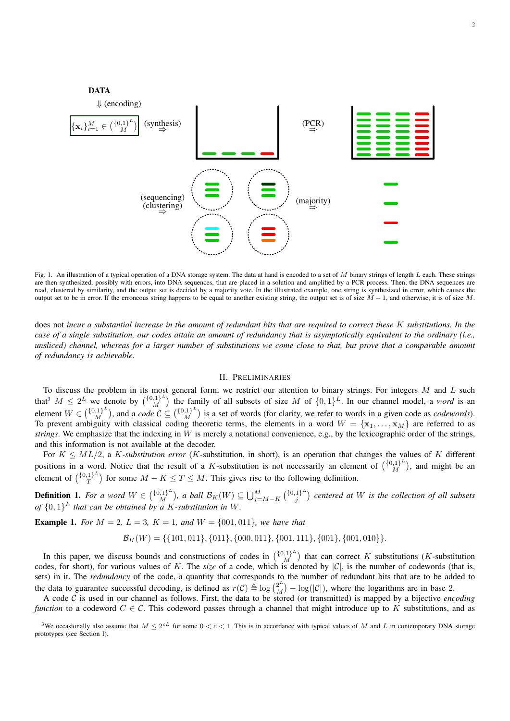

<span id="page-1-0"></span>Fig. 1. An illustration of a typical operation of a DNA storage system. The data at hand is encoded to a set of M binary strings of length L each. These strings are then synthesized, possibly with errors, into DNA sequences, that are placed in a solution and amplified by a PCR process. Then, the DNA sequences are read, clustered by similarity, and the output set is decided by a majority vote. In the illustrated example, one string is synthesized in error, which causes the output set to be in error. If the erroneous string happens to be equal to another existing string, the output set is of size  $M-1$ , and otherwise, it is of size M.

does not *incur a substantial increase in the amount of redundant bits that are required to correct these* K *substitutions. In the case of a single substitution, our codes attain an amount of redundancy that is asymptotically equivalent to the ordinary (i.e., unsliced) channel, whereas for a larger number of substitutions we come close to that, but prove that a comparable amount of redundancy is achievable.*

#### II. PRELIMINARIES

<span id="page-1-1"></span>To discuss the problem in its most general form, we restrict our attention to binary strings. For integers  $M$  and  $L$  such that<sup>[3](#page-1-2)</sup>  $M \leq 2^L$  we denote by  $\binom{\{0,1\}^L}{M}$  $\binom{1}{M}$  the family of all subsets of size M of  $\{0,1\}^L$ . In our channel model, a *word* is an element  $W \in {\binom{{0,1}^L}{M}}$  $\binom{[0,1]^L}{M}$ , and a *code*  $C \subseteq \binom{\{0,1\}^L}{M}$  $\binom{1}{M}$  is a set of words (for clarity, we refer to words in a given code as *codewords*). To prevent ambiguity with classical coding theoretic terms, the elements in a word  $W = \{x_1, \ldots, x_M\}$  are referred to as *strings*. We emphasize that the indexing in W is merely a notational convenience, e.g., by the lexicographic order of the strings, and this information is not available at the decoder.

For  $K \leq ML/2$ , a K-substitution error (K-substitution, in short), is an operation that changes the values of K different positions in a word. Notice that the result of a K-substitution is not necessarily an element of  $\binom{\{0,1\}^L}{M}$  $\binom{[0,1]^E}{M}$ , and might be an element of  $\binom{\{0,1\}^L}{T}$  $T^{1}$ ) for some  $M - K \leq T \leq M$ . This gives rise to the following definition.

<span id="page-1-3"></span>**Definition 1.** For a word  $W \in \binom{\{0,1\}^L}{M}$  $\bigcup_{i=1}^{(n+1)} L^L$ , a ball  $\mathcal{B}_K(W) \subseteq \bigcup_{j=M-K}^M {\{0,1\}}^L$  $j^{1}$ <sup> $\binom{1}{j}$ </sup> centered at W is the collection of all subsets *of*  $\{0,1\}^L$  *that can be obtained by a K-substitution in* W.

**Example 1.** For  $M = 2$ ,  $L = 3$ ,  $K = 1$ , and  $W = \{001, 011\}$ *, we have that* 

$$
\mathcal{B}_K(W) = \{ \{101, 011\}, \{011\}, \{000, 011\}, \{001, 111\}, \{001\}, \{001, 010\} \}.
$$

In this paper, we discuss bounds and constructions of codes in  $\binom{\{0,1\}^L}{M}$  $\binom{n}{M}$  that can correct K substitutions (K-substitution codes, for short), for various values of K. The *size* of a code, which is denoted by  $|\mathcal{C}|$ , is the number of codewords (that is, sets) in it. The *redundancy* of the code, a quantity that corresponds to the number of redundant bits that are to be added to the data to guarantee successful decoding, is defined as  $r(C) \triangleq \log {2^L \choose M}$  $\binom{2^2}{M} - \log(|\mathcal{C}|)$ , where the logarithms are in base 2.

A code  $\overline{C}$  is used in our channel as follows. First, the data to be stored (or transmitted) is mapped by a bijective *encoding function* to a codeword  $C \in \mathcal{C}$ . This codeword passes through a channel that might introduce up to K substitutions, and as

<span id="page-1-2"></span><sup>&</sup>lt;sup>3</sup>We occasionally also assume that  $M \leq 2^{cL}$  for some  $0 < c < 1$ . This is in accordance with typical values of M and L in contemporary DNA storage prototypes (see Section [I\)](#page-0-2).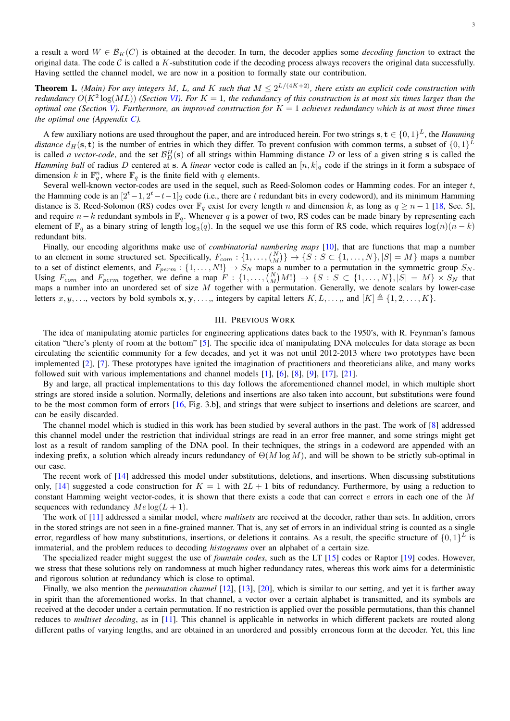**Theorem 1.** *(Main) For any integers M, L, and K such that*  $M \leq 2^{L/(4K+2)}$ *, there exists an explicit code construction with redundancy*  $O(K^2 \log(ML))$  *(Section [VI\)](#page-8-0). For*  $K = 1$ *, the redundancy of this construction is at most six times larger than the optimal one (Section [V\)](#page-4-0). Furthermore, an improved construction for*  $K = 1$  *achieves redundancy which is at most three times the optimal one (Appendix [C\)](#page-11-0).*

A few auxiliary notions are used throughout the paper, and are introduced herein. For two strings  $s, t \in \{0, 1\}^L$ , the *Hamming distance*  $d_H(s, t)$  is the number of entries in which they differ. To prevent confusion with common terms, a subset of  $\{0, 1\}^L$ is called *a vector-code*, and the set  $\mathcal{B}_D^H(s)$  of all strings within Hamming distance D or less of a given string s is called the *Hamming ball* of radius D centered at s. A *linear* vector code is called an  $[n, k]_q$  code if the strings in it form a subspace of dimension k in  $\mathbb{F}_q^n$ , where  $\mathbb{F}_q$  is the finite field with q elements.

Several well-known vector-codes are used in the sequel, such as Reed-Solomon codes or Hamming codes. For an integer t, the Hamming code is an  $[2<sup>t</sup>-1, 2<sup>t</sup>-t-1]_2$  code (i.e., there are t redundant bits in every codeword), and its minimum Hamming distance is 3. Reed-Solomon (RS) codes over  $\mathbb{F}_q$  exist for every length n and dimension k, as long as  $q \ge n - 1$  [\[18,](#page-10-5) Sec. 5], and require  $n-k$  redundant symbols in  $\mathbb{F}_q$ . Whenever q is a power of two, RS codes can be made binary by representing each element of  $\mathbb{F}_q$  as a binary string of length  $\log_2(q)$ . In the sequel we use this form of RS code, which requires  $\log(n)(n-k)$ redundant bits.

Finally, our encoding algorithms make use of *combinatorial numbering maps* [\[10\]](#page-10-6), that are functions that map a number to an element in some structured set. Specifically,  $F_{com}: \{1, \ldots, {N \choose M}\} \to \{S: S \subset \{1, \ldots, N\}, |S| = M\}$  maps a number to a set of distinct elements, and  $F_{perm}: \{1,\ldots,N!\}\to S_N$  maps a number to a permutation in the symmetric group  $S_N$ . Using  $F_{comm}$  and  $F_{perm}$  together, we define a map  $F: \{1, \ldots, \binom{N}{M}M!\} \to \{S : S \subset \{1, \ldots, N\}, |S| = M\} \times S_N$  that maps a number into an unordered set of size  $M$  together with a permutation. Generally, we denote scalars by lower-case letters  $x, y, \ldots$ , vectors by bold symbols  $x, y, \ldots$ , integers by capital letters  $K, L, \ldots$ , and  $[K] \triangleq \{1, 2, \ldots, K\}.$ 

## III. PREVIOUS WORK

<span id="page-2-0"></span>The idea of manipulating atomic particles for engineering applications dates back to the 1950's, with R. Feynman's famous citation "there's plenty of room at the bottom" [\[5\]](#page-10-7). The specific idea of manipulating DNA molecules for data storage as been circulating the scientific community for a few decades, and yet it was not until 2012-2013 where two prototypes have been implemented [\[2\]](#page-10-0), [\[7\]](#page-10-1). These prototypes have ignited the imagination of practitioners and theoreticians alike, and many works followed suit with various implementations and channel models [\[1\]](#page-10-8), [\[6\]](#page-10-9), [\[8\]](#page-10-10), [\[9\]](#page-10-11), [\[17\]](#page-10-12), [\[21\]](#page-10-13).

By and large, all practical implementations to this day follows the aforementioned channel model, in which multiple short strings are stored inside a solution. Normally, deletions and insertions are also taken into account, but substitutions were found to be the most common form of errors [\[16,](#page-10-3) Fig. 3.b], and strings that were subject to insertions and deletions are scarcer, and can be easily discarded.

The channel model which is studied in this work has been studied by several authors in the past. The work of [\[8\]](#page-10-10) addressed this channel model under the restriction that individual strings are read in an error free manner, and some strings might get lost as a result of random sampling of the DNA pool. In their techniques, the strings in a codeword are appended with an indexing prefix, a solution which already incurs redundancy of  $\Theta(M \log M)$ , and will be shown to be strictly sub-optimal in our case.

The recent work of [\[14\]](#page-10-14) addressed this model under substitutions, deletions, and insertions. When discussing substitutions only, [\[14\]](#page-10-14) suggested a code construction for  $K = 1$  with  $2L + 1$  bits of redundancy. Furthermore, by using a reduction to constant Hamming weight vector-codes, it is shown that there exists a code that can correct e errors in each one of the M sequences with redundancy  $Me \log(L + 1)$ .

The work of [\[11\]](#page-10-15) addressed a similar model, where *multisets* are received at the decoder, rather than sets. In addition, errors in the stored strings are not seen in a fine-grained manner. That is, any set of errors in an individual string is counted as a single error, regardless of how many substitutions, insertions, or deletions it contains. As a result, the specific structure of  $\{0,1\}^L$  is immaterial, and the problem reduces to decoding *histograms* over an alphabet of a certain size.

The specialized reader might suggest the use of *fountain codes*, such as the LT [\[15\]](#page-10-16) codes or Raptor [\[19\]](#page-10-17) codes. However, we stress that these solutions rely on randomness at much higher redundancy rates, whereas this work aims for a deterministic and rigorous solution at redundancy which is close to optimal.

Finally, we also mention the *permutation channel* [\[12\]](#page-10-18), [\[13\]](#page-10-19), [\[20\]](#page-10-20), which is similar to our setting, and yet it is farther away in spirit than the aforementioned works. In that channel, a vector over a certain alphabet is transmitted, and its symbols are received at the decoder under a certain permutation. If no restriction is applied over the possible permutations, than this channel reduces to *multiset decoding*, as in [\[11\]](#page-10-15). This channel is applicable in networks in which different packets are routed along different paths of varying lengths, and are obtained in an unordered and possibly erroneous form at the decoder. Yet, this line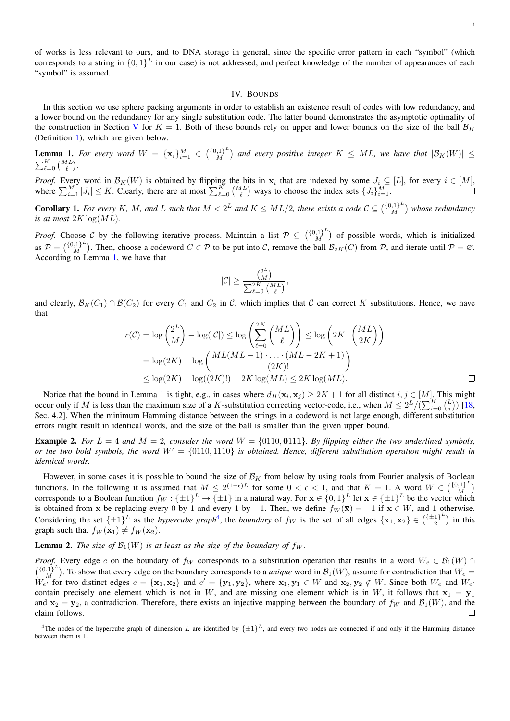of works is less relevant to ours, and to DNA storage in general, since the specific error pattern in each "symbol" (which corresponds to a string in  $\{0,1\}^L$  in our case) is not addressed, and perfect knowledge of the number of appearances of each "symbol" is assumed.

## IV. BOUNDS

<span id="page-3-0"></span>In this section we use sphere packing arguments in order to establish an existence result of codes with low redundancy, and a lower bound on the redundancy for any single substitution code. The latter bound demonstrates the asymptotic optimality of the construction in Section [V](#page-4-0) for  $K = 1$ . Both of these bounds rely on upper and lower bounds on the size of the ball  $\mathcal{B}_K$ (Definition [1\)](#page-1-3), which are given below.

<span id="page-3-1"></span>**Lemma 1.** For every word  $W = {\mathbf{x}_i}_{i=1}^M \in \binom{\{0,1\}^L}{M}$  $\binom{1}{M}$  and every positive integer  $K \leq ML$ , we have that  $|\mathcal{B}_K(W)| \leq$  $\sum_{\ell=0}^K \binom{ML}{\ell}.$ 

*Proof.* Every word in  $\mathcal{B}_K(W)$  is obtained by flipping the bits in  $x_i$  that are indexed by some  $J_i \subseteq [L]$ , for every  $i \in [M]$ , where  $\sum_{i=1}^{M} |J_i| \leq K$ . Clearly, there are at most  $\sum_{\ell=0}^{K} {\binom{ML}{\ell}}$  ways to choose the index sets  $\{J_i\}_{i=1}^{M}$ .

**Corollary 1.** For every K, M, and L such that  $M < 2^L$  and  $K \leq ML/2$ , there exists a code  $C \subseteq \binom{\{0,1\}^L}{M}$  $\binom{[0,1]^L}{M}$  whose redundancy *is at most*  $2K \log(ML)$ .

*Proof.* Choose C by the following iterative process. Maintain a list  $P \subseteq \binom{\{0,1\}^L}{M}$  $\binom{1}{M}$  of possible words, which is initialized as  $P = \left(\begin{smallmatrix} \{0,1\}^L\ M \end{smallmatrix}\right)$  $\binom{1}{M}^L$ . Then, choose a codeword  $C \in \mathcal{P}$  to be put into C, remove the ball  $\mathcal{B}_{2K}(C)$  from P, and iterate until  $\mathcal{P} = \emptyset$ . According to Lemma [1,](#page-3-1) we have that

$$
|\mathcal{C}| \geq \frac{\binom{2^L}{M}}{\sum_{\ell=0}^{2K} \binom{ML}{\ell}},
$$

and clearly,  $\mathcal{B}_K(C_1) \cap \mathcal{B}(C_2)$  for every  $C_1$  and  $C_2$  in C, which implies that C can correct K substitutions. Hence, we have that

$$
r(\mathcal{C}) = \log\binom{2^L}{M} - \log(|\mathcal{C}|) \le \log\left(\sum_{\ell=0}^{2K} \binom{ML}{\ell}\right) \le \log\left(2K \cdot \binom{ML}{2K}\right)
$$

$$
= \log(2K) + \log\left(\frac{ML(ML-1) \cdot \ldots \cdot (ML-2K+1)}{(2K)!}\right)
$$

$$
\le \log(2K) - \log((2K)!) + 2K\log(ML) \le 2K\log(ML).
$$

Notice that the bound in Lemma [1](#page-3-1) is tight, e.g., in cases where  $d_H(\mathbf{x}_i, \mathbf{x}_j) \ge 2K + 1$  for all distinct  $i, j \in [M]$ . This might occur only if M is less than the maximum size of a K-substitution correcting vector-code, i.e., when  $M \le 2^L / (\sum_{i=0}^K {L \choose i})$  [\[18,](#page-10-5) Sec. 4.2]. When the minimum Hamming distance between the strings in a codeword is not large enough, different substitution errors might result in identical words, and the size of the ball is smaller than the given upper bound.

**Example 2.** For  $L = 4$  and  $M = 2$ , consider the word  $W = \{0110, 0111\}$ . By flipping either the two underlined symbols, *or the two bold symbols, the word*  $W' = \{0110, 1110\}$  *is obtained. Hence, different substitution operation might result in identical words.*

However, in some cases it is possible to bound the size of  $\mathcal{B}_K$  from below by using tools from Fourier analysis of Boolean functions. In the following it is assumed that  $M \leq 2^{(1-\epsilon)L}$  for some  $0 < \epsilon < 1$ , and that  $K = 1$ . A word  $W \in \binom{\{0,1\}^L}{M}$  $\binom{0,1}{M}^{\omega}$ corresponds to a Boolean function  $f_W: \{\pm 1\}^L \to \{\pm 1\}$  in a natural way. For  $\mathbf{x} \in \{0,1\}^L$  let  $\overline{\mathbf{x}} \in \{\pm 1\}^L$  be the vector which is obtained from x be replacing every 0 by 1 and every 1 by −1. Then, we define  $f_W(\overline{x}) = -1$  if  $x \in W$ , and 1 otherwise. Considering the set  $\{\pm 1\}^L$  as the *hypercube graph<sup>[4](#page-3-2)</sup>*, the *boundary* of  $f_W$  is the set of all edges  $\{x_1, x_2\} \in {\{\pm 1\}^L}$  $\binom{1}{2}^{\omega}$  in this graph such that  $f_W(\mathbf{x}_1) \neq f_W(\mathbf{x}_2)$ .

## <span id="page-3-3"></span>**Lemma 2.** *The size of*  $\mathcal{B}_1(W)$  *is at least as the size of the boundary of*  $f_W$ .

*Proof.* Every edge e on the boundary of  $f_W$  corresponds to a substitution operation that results in a word  $W_e \in \mathcal{B}_1(W) \cap$  $\binom{\{0,1\}^L}{M}$  $\binom{1}{M}^{\{1\}^L}$ . To show that every edge on the boundary corresponds to a *unique* word in  $\mathcal{B}_1(W)$ , assume for contradiction that  $W_e =$  $\overline{W_{e'}}$  for two distinct edges  $e = {\mathbf{x}_1, \mathbf{x}_2}$  and  $e' = {\mathbf{y}_1, \mathbf{y}_2}$ , where  $\mathbf{x}_1, \mathbf{y}_1 \in W$  and  $\mathbf{x}_2, \mathbf{y}_2 \notin W$ . Since both  $W_e$  and  $W_{e'}$ contain precisely one element which is not in W, and are missing one element which is in W, it follows that  $x_1 = y_1$ and  $x_2 = y_2$ , a contradiction. Therefore, there exists an injective mapping between the boundary of  $f_W$  and  $\mathcal{B}_1(W)$ , and the claim follows.  $\Box$ 

<span id="page-3-2"></span><sup>&</sup>lt;sup>4</sup>The nodes of the hypercube graph of dimension L are identified by  $\{\pm 1\}^L$ , and every two nodes are connected if and only if the Hamming distance between them is 1.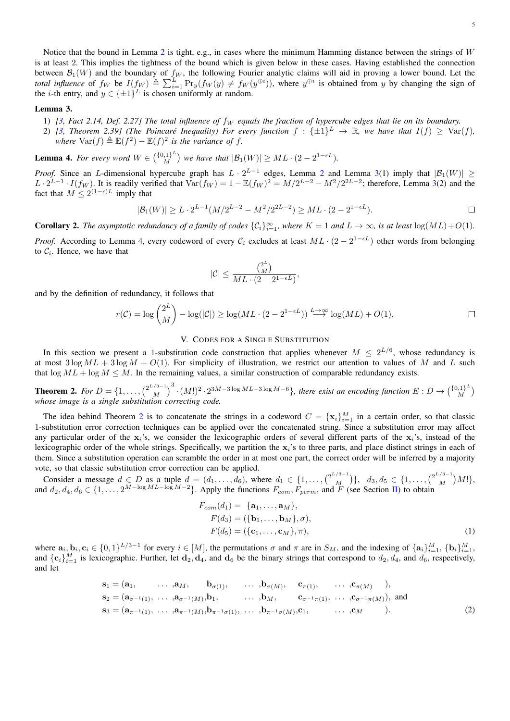Notice that the bound in Lemma [2](#page-3-3) is tight, e.g., in cases where the minimum Hamming distance between the strings of  $W$ is at least 2. This implies the tightness of the bound which is given below in these cases. Having established the connection between  $\mathcal{B}_1(W)$  and the boundary of  $f_W$ , the following Fourier analytic claims will aid in proving a lower bound. Let the *total influence* of  $f_W$  be  $I(f_W) \triangleq \sum_{i=1}^L \Pr_y(f_W(y) \neq f_W(y^{\oplus i}))$ , where  $y^{\oplus i}$  is obtained from y by changing the sign of the *i*-th entry, and  $y \in {\pm 1}^L$  is chosen uniformly at random.

### <span id="page-4-1"></span>Lemma 3.

- 1)  $[3,$  Fact 2.14, Def. 2.27] The total influence of  $f_W$  equals the fraction of hypercube edges that lie on its boundary.
- 2) [\[3,](#page-10-21) Theorem 2.39] (The Poincaré Inequality) For every function  $f : \{\pm 1\}^L \to \mathbb{R}$ , we have that  $I(f) \geq \text{Var}(f)$ , *where*  $\text{Var}(f) \triangleq \mathbb{E}(f^2) - \mathbb{E}(f)^2$  *is the variance of f.*

<span id="page-4-2"></span>**Lemma 4.** For every word  $W \in \binom{\{0,1\}^L}{M}$  $\binom{m}{M}$  we have that  $|\mathcal{B}_1(W)| \geq ML \cdot (2 - 2^{1 - \epsilon L}).$ 

*Proof.* Since an L-dimensional hypercube graph has  $L \cdot 2^{L-1}$  $L \cdot 2^{L-1}$  $L \cdot 2^{L-1}$  edges, Lemma 2 and Lemma [3\(](#page-4-1)1) imply that  $|\mathcal{B}_1(W)| \ge$  $L \cdot 2^{L-1} \cdot I(f_W)$ . It is readily verified that  $\text{Var}(f_W) = 1 - \mathbb{E}(f_W)^2 = M/2^{L-2} - M^2/2^{2L-2}$ ; therefore, Lemma [3\(](#page-4-1)2) and the fact that  $M \leq 2^{(1-\epsilon)L}$  imply that

$$
|\mathcal{B}_1(W)| \ge L \cdot 2^{L-1} (M/2^{L-2} - M^2/2^{2L-2}) \ge ML \cdot (2 - 2^{1 - \epsilon L}).
$$

**Corollary 2.** The asymptotic redundancy of a family of codes  $\{C_i\}_{i=1}^{\infty}$ , where  $K = 1$  and  $L \to \infty$ , is at least  $\log(ML) + O(1)$ .

*Proof.* According to Lemma [4,](#page-4-2) every codeword of every  $C_i$  excludes at least  $ML \cdot (2 - 2^{1-\epsilon L})$  other words from belonging to  $C_i$ . Hence, we have that

$$
|\mathcal{C}|\leq \frac{\binom{2^L}{M}}{ML\cdot(2-2^{1-\epsilon L})},
$$

and by the definition of redundancy, it follows that

$$
r(\mathcal{C}) = \log \binom{2^L}{M} - \log(|\mathcal{C}|) \ge \log(ML \cdot (2 - 2^{1 - \epsilon L})) \stackrel{L \to \infty}{\longrightarrow} \log(ML) + O(1).
$$

## V. CODES FOR A SINGLE SUBSTITUTION

<span id="page-4-0"></span>In this section we present a 1-substitution code construction that applies whenever  $M \leq 2^{L/6}$ , whose redundancy is at most  $3 \log ML + 3 \log M + O(1)$ . For simplicity of illustration, we restrict our attention to values of M and L such that  $\log ML + \log M \leq M$ . In the remaining values, a similar construction of comparable redundancy exists.

<span id="page-4-3"></span>**Theorem 2.** For  $D = \{1, \ldots, \binom{2^{L/3-1}}{M}\}$  $\binom{3-1}{M}^3 \cdot (M!)^2 \cdot 2^{3M-3\log ML-3\log M-6}$ *}, there exist an encoding function*  $E: D → \binom{\{0,1\}^L}{M}$  $\binom{0,1}{M}^{\omega}$ *whose image is a single substitution correcting code.*

The idea behind Theorem [2](#page-4-3) is to concatenate the strings in a codeword  $C = \{\mathbf{x}_i\}_{i=1}^M$  in a certain order, so that classic 1-substitution error correction techniques can be applied over the concatenated string. Since a substitution error may affect any particular order of the  $x_i$ 's, we consider the lexicographic orders of several different parts of the  $x_i$ 's, instead of the lexicographic order of the whole strings. Specifically, we partition the  $x_i$ 's to three parts, and place distinct strings in each of them. Since a substitution operation can scramble the order in at most one part, the correct order will be inferred by a majority vote, so that classic substitution error correction can be applied.

Consider a message  $d \in D$  as a tuple  $d = (d_1, \ldots, d_6)$ , where  $d_1 \in \{1, \ldots, \binom{2^{L/3-1}}{M}$  ${d_3, d_5 \in \{1, ..., \binom{2^{L/3-1}}{M}}$  $\binom{N^{3-1}}{M}$  M!}, and  $d_2, d_4, d_6 \in \{1, \ldots, 2^{M-\log ML - \log M - 2}\}\.$  Apply the functions  $F_{com}, F_{perm}$ , and  $\overline{F}$  (see Section [II\)](#page-1-1) to obtain

<span id="page-4-5"></span><span id="page-4-4"></span>
$$
F_{com}(d_1) = \{a_1, ..., a_M\},
$$
  
\n
$$
F(d_3) = (\{b_1, ..., b_M\}, \sigma),
$$
  
\n
$$
F(d_5) = (\{c_1, ..., c_M\}, \pi),
$$
  
\n(1)

where  $\mathbf{a}_i, \mathbf{b}_i, \mathbf{c}_i \in \{0,1\}^{L/3-1}$  for every  $i \in [M]$ , the permutations  $\sigma$  and  $\pi$  are in  $S_M$ , and the indexing of  $\{\mathbf{a}_i\}_{i=1}^M$ ,  $\{\mathbf{b}_i\}_{i=1}^M$ and  $\{\mathbf{c}_i\}_{i=1}^M$  is lexicographic. Further, let  $\mathbf{d}_2, \mathbf{d}_4$ , and  $\mathbf{d}_6$  be the binary strings that correspond to  $d_2, d_4$ , and  $d_6$ , respectively, and let

$$
\mathbf{s}_1 = (\mathbf{a}_1, \dots, \mathbf{a}_M, \mathbf{b}_{\sigma(1)}, \dots, \mathbf{b}_{\sigma(M)}, \mathbf{c}_{\pi(1)}, \dots, \mathbf{c}_{\pi(M)}),
$$
  
\n
$$
\mathbf{s}_2 = (\mathbf{a}_{\sigma^{-1}(1)}, \dots, \mathbf{a}_{\sigma^{-1}(M)}, \mathbf{b}_1, \dots, \mathbf{b}_M, \mathbf{c}_{\sigma^{-1}\pi(1)}, \dots, \mathbf{c}_{\sigma^{-1}\pi(M)}),
$$
 and  
\n
$$
\mathbf{s}_3 = (\mathbf{a}_{\pi^{-1}(1)}, \dots, \mathbf{a}_{\pi^{-1}(M)}, \mathbf{b}_{\pi^{-1}\sigma(1)}, \dots, \mathbf{b}_{\pi^{-1}\sigma(M)}, \mathbf{c}_1, \dots, \mathbf{c}_M).
$$
 (2)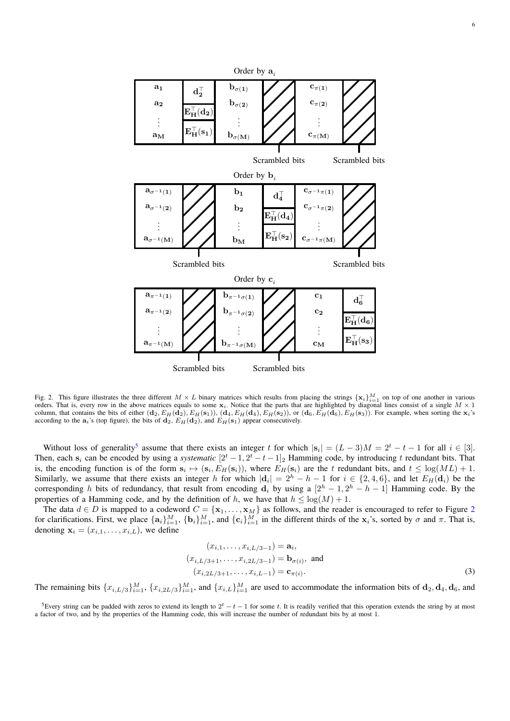

<span id="page-5-1"></span>Fig. 2. This figure illustrates the three different  $M \times L$  binary matrices which results from placing the strings  $\{x_i\}_{i=1}^M$  on top of one another in various orders. That is, every row in the above matrices equals to some  $x_i$ . Notice that the parts that are highlighted by diagonal lines consist of a single  $M \times 1$ column, that contains the bits of either  $(\mathbf{d}_2, E_H(\mathbf{d}_2), E_H(\mathbf{s}_1)), (\mathbf{d}_4, E_H(\mathbf{d}_4), E_H(\mathbf{s}_2)),$  or  $(\mathbf{d}_6, E_H(\mathbf{d}_6), E_H(\mathbf{s}_3)).$  For example, when sorting the  $\mathbf{x}_i$ 's according to the  $a_i$ 's (top figure), the bits of  $d_2$ ,  $E_H(d_2)$ , and  $E_H(s_1)$  appear consecutively.

Without loss of generality<sup>[5](#page-5-0)</sup> assume that there exists an integer t for which  $|s_i| = (L-3)M = 2^t - t - 1$  for all  $i \in [3]$ . Then, each s<sub>i</sub> can be encoded by using a *systematic*  $[2^t - 1, 2^t - t - 1]_2$  Hamming code, by introducing t redundant bits. That is, the encoding function is of the form  $s_i \mapsto (s_i, E_H(s_i))$ , where  $E_H(s_i)$  are the t redundant bits, and  $t \le \log(ML) + 1$ . Similarly, we assume that there exists an integer h for which  $|\mathbf{d}_i| = 2^h - h - 1$  for  $i \in \{2, 4, 6\}$ , and let  $E_H(\mathbf{d}_i)$  be the corresponding h bits of redundancy, that result from encoding  $d_i$  by using a  $[2^h - 1, 2^h - h - 1]$  Hamming code. By the properties of a Hamming code, and by the definition of h, we have that  $h \leq \log(M) + 1$ .

The data  $d \in D$  is mapped to a codeword  $C = \{x_1, \ldots, x_M\}$  as follows, and the reader is encouraged to refer to Figure [2](#page-5-1) for clarifications. First, we place  $\{a_i\}_{i=1}^M$ ,  $\{b_i\}_{i=1}^M$ , and  $\{c_i\}_{i=1}^M$  in the different thirds of the  $x_i$ 's, sorted by  $\sigma$  and  $\pi$ . That is, denoting  $\mathbf{x}_i = (x_{i,1}, \dots, x_{i,L})$ , we define

<span id="page-5-2"></span>
$$
(x_{i,1},...,x_{i,L/3-1}) = \mathbf{a}_i,
$$
  
\n
$$
(x_{i,L/3+1},...,x_{i,2L/3-1}) = \mathbf{b}_{\sigma(i)}, \text{ and}
$$
  
\n
$$
(x_{i,2L/3+1},...,x_{i,L-1}) = \mathbf{c}_{\pi(i)}.
$$
\n(3)

The remaining bits  $\{x_{i,L/3}\}_{i=1}^M$ ,  $\{x_{i,2L/3}\}_{i=1}^M$ , and  $\{x_{i,L}\}_{i=1}^M$  are used to accommodate the information bits of  $\mathbf{d}_2, \mathbf{d}_4, \mathbf{d}_6$ , and

<span id="page-5-0"></span><sup>5</sup>Every string can be padded with zeros to extend its length to  $2^t - t - 1$  for some t. It is readily verified that this operation extends the string by at most a factor of two, and by the properties of the Hamming code, this will increase the number of redundant bits by at most 1.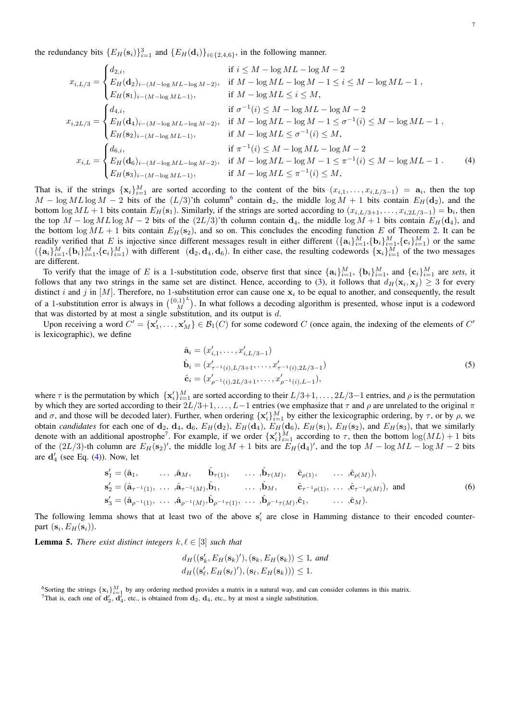the redundancy bits  $\{E_H(\mathbf{s}_i)\}_{i=1}^3$  and  $\{E_H(\mathbf{d}_i)\}_{i \in \{2,4,6\}}$ , in the following manner.

$$
x_{i,L/3} = \begin{cases} d_{2,i}, & \text{if } i \leq M - \log ML - \log M - 2 \\ E_H(\mathbf{d}_2)_{i-(M-\log ML - \log M - 2)}, & \text{if } M - \log ML - \log M - 1 \leq i \leq M - \log ML - 1 \\ E_H(\mathbf{s}_1)_{i-(M-\log ML - 1)}, & \text{if } M - \log ML \leq i \leq M, \\ E_H(\mathbf{d}_4)_{i-(M-\log ML - \log M - 2)}, & \text{if } M - \log ML - \log ML - \log M - 2 \\ E_H(\mathbf{d}_4)_{i-(M-\log ML - \log M - 2)}, & \text{if } M - \log ML - \log M - 1 \leq \sigma^{-1}(i) \leq M - \log ML - 1 \\ E_H(\mathbf{s}_2)_{i-(M-\log ML - 1)}, & \text{if } M - \log ML \leq \sigma^{-1}(i) \leq M, \\ E_H(\mathbf{d}_6)_{i-(M-\log ML - \log M - 2)}, & \text{if } M - \log ML - \log M - 1 \leq \pi^{-1}(i) \leq M - \log ML - 1. \end{cases} (4)
$$

That is, if the strings  $\{x_i\}_{i=1}^M$  are sorted according to the content of the bits  $(x_{i,1},...,x_{i,L/3-1}) = a_i$ , then the top  $M - \log ML \log M - 2$  bits of the  $(L/3)$ 'th column<sup>[6](#page-6-0)</sup> contain  $d_2$ , the middle  $\log M + 1$  bits contain  $E_H(d_2)$ , and the bottom  $\log ML + 1$  bits contain  $E_H(\mathbf{s}_1)$ . Similarly, if the strings are sorted according to  $(x_{i,L/3+1}, \ldots, x_{i,2L/3-1}) = \mathbf{b}_i$ , then the top  $M - \log ML \log M - 2$  bits of the  $(2L/3)$ 'th column contain  $d_4$ , the middle  $\log M + 1$  bits contain  $E_H(d_4)$ , and the bottom  $\log ML + 1$  bits contain  $E_H(\mathbf{s}_2)$ , and so on. This concludes the encoding function E of Theorem [2.](#page-4-3) It can be readily verified that E is injective since different messages result in either different  $(\{a_i\}_{i=1}^M, \{b_i\}_{i=1}^M, \{c_i\}_{i=1}^M)$  or the same  $(\{a_i\}_{i=1}^M, \{b_i\}_{i=1}^M, \{c_i\}_{i=1}^M)$  with different  $(d_2, d_4, d_6)$ . In either case, the resulting codewords  $\{x_i\}_{i=1}^M$  of the two messages are different.

To verify that the image of E is a 1-substitution code, observe first that since  $\{a_i\}_{i=1}^M$ ,  $\{b_i\}_{i=1}^M$ , and  $\{c_i\}_{i=1}^M$  are *sets*, it follows that any two strings in the same set are distinct. Hence, according to [\(3\)](#page-5-2), it follows that  $d_H(\mathbf{x}_i, \mathbf{x}_j) \geq 3$  for every distinct i and j in [M]. Therefore, no 1-substitution error can cause one  $x_i$  to be equal to another, and consequently, the result of a 1-substitution error is always in  $\binom{\{0,1\}^L}{M}$  $\binom{1}{M}$ . In what follows a decoding algorithm is presented, whose input is a codeword that was distorted by at most a single substitution, and its output is  $d$ .

Upon receiving a word  $C' = \{x'_1, \ldots, x'_M\} \in \mathcal{B}_1(C)$  for some codeword C (once again, the indexing of the elements of C' is lexicographic), we define

<span id="page-6-4"></span><span id="page-6-2"></span>
$$
\hat{\mathbf{a}}_i = (x'_{i,1}, \dots, x'_{i,L/3-1})
$$
\n
$$
\hat{\mathbf{b}}_i = (x'_{\tau^{-1}(i), L/3+1}, \dots, x'_{\tau^{-1}(i), 2L/3-1})
$$
\n
$$
\hat{\mathbf{c}}_i = (x'_{\rho^{-1}(i), 2L/3+1}, \dots, x'_{\rho^{-1}(i), L-1}),
$$
\n(5)

where  $\tau$  is the permutation by which  $\{x_i'\}_{i=1}^M$  are sorted according to their  $L/3+1,\ldots,2L/3-1$  entries, and  $\rho$  is the permutation by which they are sorted according to their  $2L/3+1, \ldots, L-1$  entries (we emphasize that  $\tau$  and  $\rho$  are unrelated to the original  $\pi$ and  $\sigma$ , and those will be decoded later). Further, when ordering  $\{x_i'\}_{i=1}^M$  by either the lexicographic ordering, by  $\tau$ , or by  $\rho$ , we obtain *candidates* for each one of  $\mathbf{d}_2$ ,  $\mathbf{d}_4$ ,  $\mathbf{d}_6$ ,  $E_H(\mathbf{d}_2)$ ,  $E_H(\mathbf{d}_4)$ ,  $E_H(\mathbf{d}_6)$ ,  $E_H(\mathbf{s}_1)$ ,  $E_H(\mathbf{s}_2)$ , and  $E_H(\mathbf{s}_3)$ , that we similarly denote with an additional apostrophe<sup>[7](#page-6-1)</sup>. For example, if we order  $\{x_i'\}_{i=1}^M$  according to  $\tau$ , then the bottom  $\log(ML) + 1$  bits of the  $(2L/3)$ -th column are  $E_H(\mathbf{s}_2)'$ , the middle  $\log M + 1$  bits are  $E_H(\mathbf{d}_4)'$ , and the top  $M - \log ML - \log M - 2$  bits are  $\mathbf{d}'_4$  (see Eq. [\(4\)](#page-6-2)). Now, let

$$
\mathbf{s}'_1 = (\hat{\mathbf{a}}_1, \dots, \hat{\mathbf{a}}_M, \hat{\mathbf{b}}_{\tau(1)}, \dots, \hat{\mathbf{b}}_{\tau(M)}, \hat{\mathbf{c}}_{\rho(1)}, \dots, \hat{\mathbf{c}}_{\rho(M)}), \n\mathbf{s}'_2 = (\hat{\mathbf{a}}_{\tau^{-1}(1)}, \dots, \hat{\mathbf{a}}_{\tau^{-1}(M)}, \hat{\mathbf{b}}_1, \dots, \hat{\mathbf{b}}_M, \hat{\mathbf{c}}_{\tau^{-1}\rho(1)}, \dots, \hat{\mathbf{c}}_{\tau^{-1}\rho(M)}), \text{ and } \n\mathbf{s}'_3 = (\hat{\mathbf{a}}_{\rho^{-1}(1)}, \dots, \hat{\mathbf{a}}_{\rho^{-1}(M)}, \hat{\mathbf{b}}_{\rho^{-1}\tau(1)}, \dots, \hat{\mathbf{b}}_{\rho^{-1}\tau(M)}, \hat{\mathbf{c}}_1, \dots, \hat{\mathbf{c}}_M).
$$
\n(6)

The following lemma shows that at least two of the above  $s_i$  are close in Hamming distance to their encoded counterpart  $(\mathbf{s}_i, E_H(\mathbf{s}_i))$ .

<span id="page-6-3"></span>**Lemma 5.** *There exist distinct integers*  $k, \ell \in [3]$  *such that* 

$$
d_H((\mathbf{s}'_k, E_H(\mathbf{s}_k)'), (\mathbf{s}_k, E_H(\mathbf{s}_k)) \le 1, and
$$
  

$$
d_H((\mathbf{s}'_k, E_H(\mathbf{s}_k)'), (\mathbf{s}_k, E_H(\mathbf{s}_k))) \le 1.
$$

<span id="page-6-0"></span><sup>6</sup>Sorting the strings  $\{x_i\}_{i=1}^M$  by any ordering method provides a matrix in a natural way, and can consider columns in this matrix.

<span id="page-6-1"></span><sup>7</sup>That is, each one of  $\mathbf{d}'_2$ ,  $\mathbf{d}'_4$ , etc., is obtained from  $\mathbf{d}_2$ ,  $\mathbf{d}_4$ , etc., by at most a single substitution.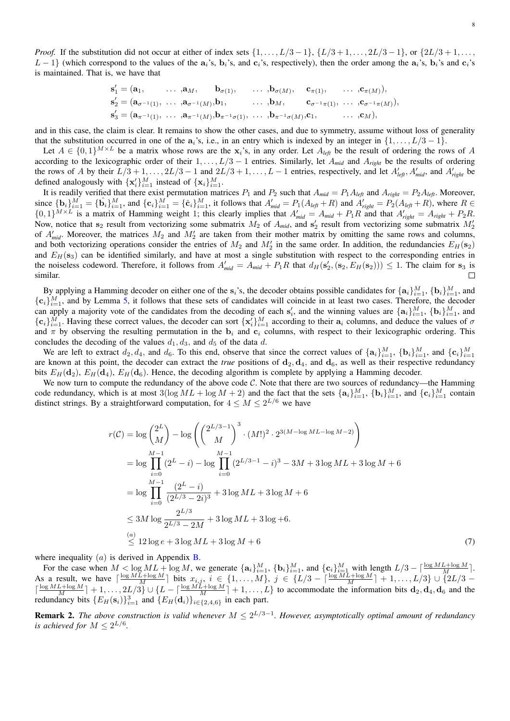*Proof.* If the substitution did not occur at either of index sets  $\{1, \ldots, L/3 - 1\}$ ,  $\{L/3 + 1, \ldots, 2L/3 - 1\}$ , or  $\{2L/3 + 1, \ldots,$  $L-1$ } (which correspond to the values of the  $a_i$ 's,  $b_i$ 's, and  $c_i$ 's, respectively), then the order among the  $a_i$ 's,  $b_i$ 's and  $c_i$ 's is maintained. That is, we have that

$$
\begin{aligned} &\mathbf{s}'_1 = (\mathbf{a}_1, \quad \ldots, \mathbf{a}_M, \quad \mathbf{b}_{\sigma(1)}, \quad \ldots, \mathbf{b}_{\sigma(M)}, \quad \mathbf{c}_{\pi(1)}, \quad \ldots, \mathbf{c}_{\pi(M)}), \\ &\mathbf{s}'_2 = (\mathbf{a}_{\sigma^{-1}(1)}, \quad \ldots, \mathbf{a}_{\sigma^{-1}(M)}, \mathbf{b}_1, \quad \ldots, \mathbf{b}_M, \quad \mathbf{c}_{\sigma^{-1}\pi(1)}, \quad \ldots, \mathbf{c}_{\sigma^{-1}\pi(M)}), \\ &\mathbf{s}'_3 = (\mathbf{a}_{\pi^{-1}(1)}, \quad \ldots, \mathbf{a}_{\pi^{-1}(M)}, \mathbf{b}_{\pi^{-1}\sigma(1)}, \quad \ldots, \mathbf{b}_{\pi^{-1}\sigma(M)}, \mathbf{c}_1, \quad \ldots, \mathbf{c}_M), \end{aligned}
$$

and in this case, the claim is clear. It remains to show the other cases, and due to symmetry, assume without loss of generality that the substitution occurred in one of the  $a_i$ 's, i.e., in an entry which is indexed by an integer in  $\{1, \ldots, L/3 - 1\}$ .

Let  $A \in \{0,1\}^{M \times L}$  be a matrix whose rows are the  $x_i$ 's, in any order. Let  $A_{left}$  be the result of ordering the rows of A according to the lexicographic order of their 1, . . . , L/3 − 1 entries. Similarly, let A*mid* and A*right* be the results of ordering the rows of A by their  $L/3 + 1, \ldots, 2L/3 - 1$  and  $2L/3 + 1, \ldots, L - 1$  entries, respectively, and let  $A'_{left}$ ,  $A'_{mid}$ , and  $A'_{right}$  be defined analogously with  $\{x_i'\}_{i=1}^M$  instead of  $\{x_i\}_{i=1}^M$ .

It is readily verified that there exist permutation matrices  $P_1$  and  $P_2$  such that  $A_{mid} = P_1 A_{left}$  and  $A_{right} = P_2 A_{left}$ . Moreover, since  ${\bf b}_i\}_{i=1}^M = {\bf \{b}_i\}_{i=1}^M$ , and  ${\bf \{c}_i\}_{i=1}^M = {\bf \{c}_i\}_{i=1}^M$ , it follows that  $A'_{mid} = P_1(A_{left} + R)$  and  $A'_{right} = P_2(A_{left} + R)$ , where  $R \in$  $\{0,1\}^{M \times L}$  is a matrix of Hamming weight 1; this clearly implies that  $A'_{mid} = A_{mid} + P_1 R$  and that  $A'_{right} = A_{right} + P_2 R$ . Now, notice that  $s_2$  result from vectorizing some submatrix  $M_2$  of  $A_{mid}$ , and  $s'_2$  result from vectorizing some submatrix  $M'_2$ of  $A'_{mid}$ . Moreover, the matrices  $M_2$  and  $M'_2$  are taken from their mother matrix by omitting the same rows and columns, and both vectorizing operations consider the entries of  $M_2$  and  $M'_2$  in the same order. In addition, the redundancies  $E_H(s_2)$ and  $E_H(s_3)$  can be identified similarly, and have at most a single substitution with respect to the corresponding entries in the noiseless codeword. Therefore, it follows from  $A'_{mid} = A_{mid} + P_1R$  that  $d_H(s'_2, (s_2, E_H(s_2))) \leq 1$ . The claim for  $s_3$  is similar.  $\Box$ 

By applying a Hamming decoder on either one of the  $s_i$ 's, the decoder obtains possible candidates for  $\{a_i\}_{i=1}^M$ ,  $\{b_i\}_{i=1}^M$ , and  ${c_i}_{i=1}^M$ , and by Lemma [5,](#page-6-3) it follows that these sets of candidates will coincide in at least two cases. Therefore, the decoder can apply a majority vote of the candidates from the decoding of each  $s'_i$ , and the winning values are  $\{a_i\}_{i=1}^M$ ,  $\{b_i\}_{i=1}^M$ , and  $\{\mathbf{c}_i\}_{i=1}^M$ . Having these correct values, the decoder can sort  $\{\mathbf{x}'_i\}_{i=1}^M$  according to their  $\mathbf{a}_i$  columns, and deduce the values of  $\sigma$ and  $\pi$  by observing the resulting permutation in the  $b_i$  and  $c_i$  columns, with respect to their lexicographic ordering. This concludes the decoding of the values  $d_1, d_3$ , and  $d_5$  of the data d.

We are left to extract  $d_2, d_4$ , and  $d_6$ . To this end, observe that since the correct values of  $\{a_i\}_{i=1}^M$ ,  $\{b_i\}_{i=1}^M$ , and  $\{c_i\}_{i=1}^M$ are known at this point, the decoder can extract the *true* positions of  $d_2, d_4$ , and  $d_6$ , as well as their respective redundancy bits  $E_H(\mathbf{d}_2)$ ,  $E_H(\mathbf{d}_4)$ ,  $E_H(\mathbf{d}_6)$ . Hence, the decoding algorithm is complete by applying a Hamming decoder.

We now turn to compute the redundancy of the above code  $C$ . Note that there are two sources of redundancy—the Hamming code redundancy, which is at most  $3(\log ML + \log M + 2)$  and the fact that the sets  $\{a_i\}_{i=1}^M$ ,  $\{b_i\}_{i=1}^M$ , and  $\{c_i\}_{i=1}^M$  contain distinct strings. By a straightforward computation, for  $4 \leq M \leq 2^{L/6}$  we have

<span id="page-7-0"></span>
$$
r(C) = \log \binom{2^L}{M} - \log \left( \binom{2^{L/3-1}}{M}^3 \cdot (M!)^2 \cdot 2^{3(M - \log ML - \log M - 2)} \right)
$$
  
=  $\log \prod_{i=0}^{M-1} (2^L - i) - \log \prod_{i=0}^{M-1} (2^{L/3-1} - i)^3 - 3M + 3 \log ML + 3 \log M + 6$   
=  $\log \prod_{i=0}^{M-1} \frac{(2^L - i)}{(2^{L/3} - 2i)^3} + 3 \log ML + 3 \log M + 6$   
 $\leq 3M \log \frac{2^{L/3}}{2^{L/3} - 2M} + 3 \log ML + 3 \log + 6.$   
 $\stackrel{(a)}{\leq} 12 \log e + 3 \log ML + 3 \log M + 6$  (7)

where inequality  $(a)$  is derived in Appendix **B**.

For the case when  $M < \log ML + \log M$ , we generate  $\{a_i\}_{i=1}^M$ ,  $\{b_i\}_{i=1}^M$ , and  $\{c_i\}_{i=1}^M$  with length  $L/3 - \lceil \frac{\log ML + \log M}{M} \rceil$ . As a result, we have  $\lceil \frac{\log ML + \log M}{M} \rceil$  bits  $x_{i,j}$ ,  $i \in \{1, ..., M\}$ ,  $j \in \{L/3 - \lceil \frac{\log ML + \log M}{M} \rceil + 1, ..., L/3\}$   $\cup$   $\{2L/3 \lceil \frac{\log ML + \log M}{M} \rceil + 1, \ldots, 2L/3 \} \cup \{L - \lceil \frac{\log ML + \log M}{M} \rceil + 1, \ldots, L\}$  to accommodate the information bits  $\mathbf{d}_2, \mathbf{d}_4, \mathbf{d}_6$  and the redundancy bits  $\{E_H(\mathbf{s}_i)\}_{i=1}^3$  and  $\{E_H(\mathbf{d}_i)\}_{i\in\{2,4,6\}}$  in each part.

Remark 2. *The above construction is valid whenever* M ≤ 2 L/3−1 *. However, asymptotically optimal amount of redundancy is achieved for*  $M \leq 2^{L/6}$ *.*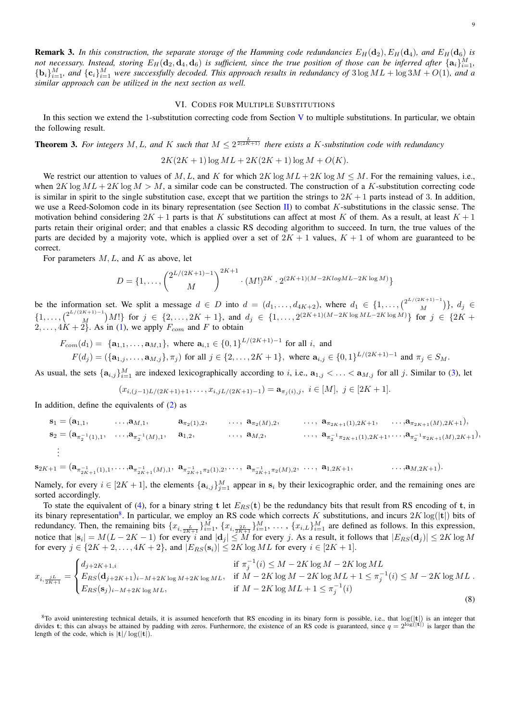<span id="page-8-2"></span>**Remark 3.** In this construction, the separate storage of the Hamming code redundancies  $E_H(\mathbf{d}_2)$ ,  $E_H(\mathbf{d}_1)$ , and  $E_H(\mathbf{d}_6)$  is not necessary. Instead, storing  $E_H({\bf d}_2,{\bf d}_4,{\bf d}_6)$  is sufficient, since the true position of those can be inferred after  $\{{\bf a}_i\}_{i=1}^M,$  ${\bf b}_i\}_{i=1}^M$ , and  ${\bf c}_i\}_{i=1}^M$  were successfully decoded. This approach results in redundancy of  $3\log ML + \log 3M + O(1)$ , and a *similar approach can be utilized in the next section as well.*

#### VI. CODES FOR MULTIPLE SUBSTITUTIONS

<span id="page-8-0"></span>In this section we extend the 1-substitution correcting code from Section [V](#page-4-0) to multiple substitutions. In particular, we obtain the following result.

**Theorem 3.** For integers M, L, and K such that  $M \leq 2^{\frac{L}{2(2K+1)}}$  there exists a K-substitution code with redundancy

$$
2K(2K+1)\log ML + 2K(2K+1)\log M + O(K).
$$

We restrict our attention to values of M, L, and K for which  $2K \log ML + 2K \log M \le M$ . For the remaining values, i.e., when  $2K \log ML + 2K \log M > M$ , a similar code can be constructed. The construction of a K-substitution correcting code is similar in spirit to the single substitution case, except that we partition the strings to  $2K + 1$  parts instead of 3. In addition, we use a Reed-Solomon code in its binary representation (see Section [II\)](#page-1-1) to combat K-substitutions in the classic sense. The motivation behind considering  $2K + 1$  parts is that K substitutions can affect at most K of them. As a result, at least  $K + 1$ parts retain their original order; and that enables a classic RS decoding algorithm to succeed. In turn, the true values of the parts are decided by a majority vote, which is applied over a set of  $2K + 1$  values,  $K + 1$  of whom are guaranteed to be correct.

For parameters  $M, L$ , and  $K$  as above, let

$$
D = \{1, \ldots, \binom{2^{L/(2K+1)-1}}{M}^{2K+1} \cdot (M!)^{2K} \cdot 2^{(2K+1)(M-2K \log ML - 2K \log M)}\}
$$

be the information set. We split a message  $d \in D$  into  $d = (d_1, \ldots, d_{4K+2})$ , where  $d_1 \in \{1, \ldots, \binom{2^{L/(2K+1)-1}}{M}$  $\binom{n+1}{M}$ ,  $d_j \in$  $\{1, \ldots, \binom{2^{L/(2K+1)-1}}{M}$  $\binom{N+1}{M}$   $M!$  for  $j \in \{2,\ldots,2K+1\}$ , and  $d_j \in \{1,\ldots,2^{(2K+1)(M-2K\log ML-2K\log M)}\}$  for  $j \in \{2K+1\}$  $2, \ldots, 4K + 2$ . As in [\(1\)](#page-4-4), we apply  $F_{com}$  and F to obtain

$$
F_{com}(d_1) = \{a_{1,1}, \ldots, a_{M,1}\}, \text{ where } a_{i,1} \in \{0,1\}^{L/(2K+1)-1} \text{ for all } i, \text{ and}
$$
  

$$
F(d_j) = (\{a_{1,j}, \ldots, a_{M,j}\}, \pi_j) \text{ for all } j \in \{2, \ldots, 2K+1\}, \text{ where } a_{i,j} \in \{0,1\}^{L/(2K+1)-1} \text{ and } \pi_j \in S_M.
$$

As usual, the sets  $\{a_{i,j}\}_{i=1}^M$  are indexed lexicographically according to i, i.e.,  $a_{1,j} < \ldots < a_{M,j}$  for all j. Similar to [\(3\)](#page-5-2), let

$$
(x_{i,(j-1)L/(2K+1)+1},\ldots,x_{i,jL/(2K+1)-1})=\mathbf{a}_{\pi_j(i),j},\ i\in[M],\ j\in[2K+1].
$$

In addition, define the equivalents of  $(2)$  as

$$
\mathbf{s}_1 = (\mathbf{a}_{1,1}, \dots, \mathbf{a}_{M,1}, \mathbf{a}_{\pi_2(1),2}, \dots, \mathbf{a}_{\pi_2(M),2}, \dots, \mathbf{a}_{\pi_{2K+1}(1),2K+1}, \dots, \mathbf{a}_{\pi_{2K+1}(M),2K+1}),
$$
  
\n
$$
\mathbf{s}_2 = (\mathbf{a}_{\pi_2^{-1}(1),1}, \dots, \mathbf{a}_{\pi_2^{-1}(M),1}, \mathbf{a}_{1,2}, \dots, \mathbf{a}_{M,2}, \dots, \mathbf{a}_{M,2}, \dots, \mathbf{a}_{\pi_2^{-1}\pi_{2K+1}(1),2K+1}, \dots, \mathbf{a}_{\pi_2^{-1}\pi_{2K+1}(M),2K+1}),
$$
  
\n
$$
\vdots
$$

$$
\mathbf{s}_{2K+1} = (\mathbf{a}_{\pi_{2K+1}^{-1}(1),1},\ldots,\mathbf{a}_{\pi_{2K+1}^{-1}(M),1}, \ \mathbf{a}_{\pi_{2K+1}^{-1}\pi_2(1),2},\ldots,\ \mathbf{a}_{\pi_{2K+1}^{-1}\pi_2(M),2},\ \ldots,\ \mathbf{a}_{1,2K+1},\qquad \ldots,\mathbf{a}_{M,2K+1}).
$$

Namely, for every  $i \in [2K+1]$ , the elements  $\{a_{i,j}\}_{j=1}^M$  appear in  $s_i$  by their lexicographic order, and the remaining ones are sorted accordingly.

To state the equivalent of [\(4\)](#page-6-2), for a binary string t let  $E_{RS}(t)$  be the redundancy bits that result from RS encoding of t, in its binary representation<sup>[8](#page-8-1)</sup>. In particular, we employ an RS code which corrects K substitutions, and incurs  $2K \log(|{\bf{t}}|)$  bits of redundancy. Then, the remaining bits  $\{x_{i,\frac{L}{2K+1}}\}_{i=1}^M$ ,  $\{x_{i,\frac{2L}{2K+1}}\}_{i=1}^M$ ,  $\ldots$ ,  $\{x_{i,L}\}_{i=1}^M$  are defined as follows. In this expression, notice that  $|\mathbf{s}_i|=M(L-2K-1)$  for every  $i$  and  $|\mathbf{d}_j|\leq M$  for every  $j.$  As a result, it follows that  $|E_{RS}(\mathbf{d}_j)|\leq 2K\log M$ for every  $j \in \{2K+2,\ldots, 4K+2\}$ , and  $|E_{RS}(\mathbf{s}_i)| \leq 2K \log ML$  for every  $i \in [2K+1]$ .

$$
x_{i, \frac{jL}{2K+1}} = \begin{cases} d_{j+2K+1,i} & \text{if } \pi_j^{-1}(i) \le M - 2K \log M - 2K \log ML \\ E_{RS}(\mathbf{d}_{j+2K+1})_{i-M+2K \log M + 2K \log ML}, & \text{if } M - 2K \log M - 2K \log ML + 1 \le \pi_j^{-1}(i) \le M - 2K \log ML \\ E_{RS}(\mathbf{s}_j)_{i-M+2K \log ML}, & \text{if } M - 2K \log ML + 1 \le \pi_j^{-1}(i) \end{cases} \tag{8}
$$

<span id="page-8-1"></span> ${}^{8}$ To avoid uninteresting technical details, it is assumed henceforth that RS encoding in its binary form is possible, i.e., that  $log(|t|)$  is an integer that divides t; this can always be attained by padding with zeros. Furthermore, the existence of an RS code is guaranteed, since  $q = 2^{\log(|\mathbf{t}|)}$  is larger than the length of the code, which is  $|t|/\log(|t|)$ .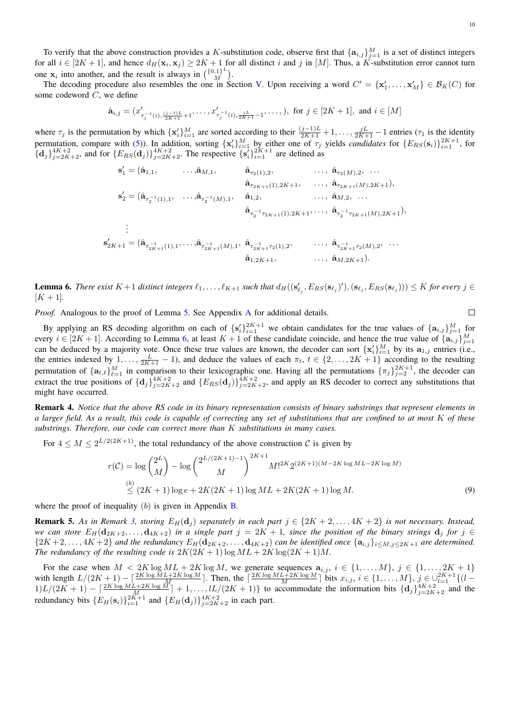To verify that the above construction provides a K-substitution code, observe first that  $\{a_{i,j}\}_{j=1}^M$  is a set of distinct integers for all  $i \in [2K+1]$ , and hence  $d_H(\mathbf{x}_i, \mathbf{x}_j) \ge 2K+1$  for all distinct i and j in [M]. Thus, a K-substitution error cannot turn one  $x_i$  into another, and the result is always in  $\begin{pmatrix} \{0,1\}^L \\ M \end{pmatrix}$  $\binom{1}{M}^{\omega}$ .

The decoding procedure also resembles the one in Section [V.](#page-4-0) Upon receiving a word  $C' = \{x'_1, \ldots, x'_M\} \in \mathcal{B}_K(C)$  for some codeword C, we define

$$
\hat{\mathbf{a}}_{i,j} = (x'_{\tau_j^{-1}(i), \frac{(j-1)L}{2K+1}+1}, \dots, x'_{\tau_j^{-1}(i), \frac{jL}{2K+1}-1}, \dots, ), \text{ for } j \in [2K+1], \text{ and } i \in [M]
$$

where  $\tau_j$  is the permutation by which  $\{x_i'\}_{i=1}^M$  are sorted according to their  $\frac{(j-1)L}{2K+1} + 1, \ldots, \frac{jL}{2K+1} - 1$  entries  $(\tau_1$  is the identity permutation, compare with [\(5\)](#page-6-4)). In addition, sorting  $\{x_i'\}_{i=1}^M$  by either one of  $\tau_j$  yields *candidates* for  $\{E_{RS}(s_i)\}_{i=1}^{2K+1}$ , for  ${d_j}_{j=2K+2}^{4K+2}$ , and for  ${E_{RS}(\mathbf{d}_j)}_{j=2K+2}^{4K+2}$ . The respective  ${s_i}^{j}{}_{i=1}^{2K+1}$  are defined as

s 0 <sup>1</sup> = (aˆ1,1, . . . ,aˆM,1, aˆτ2(1),2, . . . , aˆτ2(M),2, . . . aˆτ2K+1(1),2K+1, . . . , aˆτ2K+1(M),2K+1), s 0 <sup>2</sup> = (aˆ<sup>τ</sup> −1 2 (1),1 , . . . ,aˆ<sup>τ</sup> −1 2 (M),1 , aˆ1,2, . . . , aˆM,2, . . . aˆτ −1 2 <sup>τ</sup>2K+1(1),2K+1, . . . , aˆ<sup>τ</sup> −1 2 <sup>τ</sup>2K+1(M),2K+1), . . . <sup>2</sup>K+1 = (aˆ<sup>τ</sup> −1 <sup>2</sup>K+1(1),1 , . . . ,aˆ<sup>τ</sup> −1 <sup>2</sup>K+1(M),1 , aˆ<sup>τ</sup> −1 <sup>2</sup>K+1τ2(1),2 , . . . , aˆ<sup>τ</sup> −1 <sup>2</sup>K+1τ2(M),2 , . . . aˆ1,2K+1, . . . , aˆM,2K+1).

<span id="page-9-0"></span>**Lemma 6.** There exist  $K+1$  distinct integers  $\ell_1, \ldots, \ell_{K+1}$  such that  $d_H((s'_{\ell_j}, E_{RS}(s_{\ell_j})'), (s_{\ell_j}, E_{RS}(s_{\ell_j}))) \leq K$  for every  $j \in K$  $[K + 1]$ 

*Proof.* Analogous to the proof of Lemma [5.](#page-6-3) See [A](#page-10-22)ppendix A for additional details.

<span id="page-9-1"></span> $\Box$ 

By applying an RS decoding algorithm on each of  $\{s_i'\}_{i=1}^{2K+1}$  we obtain candidates for the true values of  $\{a_{i,j}\}_{j=1}^M$  for every  $i \in [2K+1]$ . According to Lemma [6,](#page-9-0) at least  $K+1$  of these candidate coincide, and hence the true value of  $\{\mathbf{a}_{i,j}\}_{j=1}^M$ can be deduced by a majority vote. Once these true values are known, the decoder can sort  $\{x_i'\}_{i=1}^M$  by its  $a_{1,j}$  entries (i.e., the entries indexed by  $1, \ldots, \frac{L}{2K+1} - 1$ , and deduce the values of each  $\pi_t$ ,  $t \in \{2, \ldots, 2K+1\}$  according to the resulting permutation of  $\{a_{t,\ell}\}_{\ell=1}^M$  in comparison to their lexicographic one. Having all the permutations  $\{\pi_j\}_{j=2}^{2K+1}$ , the decoder can extract the true positions of  $\{d_j\}_{j=2K+2}^{4K+2}$  and  $\{E_{RS}(d_j)\}_{j=2K+2}^{4K+2}$ , and apply an RS decoder to correct any substitutions that might have occurred.

Remark 4. *Notice that the above RS code in its binary representation consists of binary substrings that represent elements in a larger field. As a result, this code is capable of correcting* any *set of substitutions that are confined to at most* K *of these substrings. Therefore, our code can correct more than* K *substitutions in many cases.*

For  $4 \leq M \leq 2^{L/2(2K+1)}$ , the total redundancy of the above construction C is given by

$$
r(C) = \log {2^L \choose M} - \log {2^{L/(2K+1)-1} \choose M}^{2K+1} M!^{2K} 2^{(2K+1)(M-2K \log ML - 2K \log M)}
$$
  
\n
$$
\stackrel{(b)}{\leq} (2K+1) \log e + 2K(2K+1) \log ML + 2K(2K+1) \log M.
$$
\n(9)

where the proof of inequality  $(b)$  is given in Appendix **B**.

 $s'_2$ 

**Remark 5.** As in Remark [3,](#page-8-2) storing  $E_H(d_i)$  separately in each part  $j \in \{2K+2,\ldots, 4K+2\}$  is not necessary. Instead, *we can store*  $E_H(\mathbf{d}_{2K+2}, \ldots, \mathbf{d}_{4K+2})$  *in a single part*  $j = 2K + 1$ *, since the position of the binary strings*  $\mathbf{d}_j$  *for*  $j \in$  ${2K+2,\ldots,4K+2}$  and the redundancy  $E_H(\mathbf{d}_{2K+2},\ldots,\mathbf{d}_{4K+2})$  can be identified once  ${\{\mathbf{a}_{i,j}\}_{i\leq M,j\leq 2K+1}}$  are determined. *The redundancy of the resulting code is*  $2K(2K + 1) \log ML + 2K \log(2K + 1)M$ .

For the case when  $M < 2K \log ML + 2K \log M$ , we generate sequences  $a_{i,j}$ ,  $i \in \{1, ..., M\}$ ,  $j \in \{1, ..., 2K + 1\}$ with length  $L/(2K+1) - \left[\frac{2K \log ML + 2K \log M}{M}\right]$ . Then, the  $\left[\frac{2K \log ML + 2K \log M}{M}\right]$  bits  $x_{i,j}$ ,  $i \in \{1, \ldots, M\}$ ,  $j \in \bigcup_{l=1}^{2K+1} \{(l-1) \log M + 2K \log M \}$  $1)L/(2K+1) - \left[\frac{2K \log ML + 2K \log M}{M}\right] + 1, \ldots, \left[L/(2K+1)\right]$  to accommodate the information bits  $\{d_j\}_{j=2K+2}^{4K+2}$  and the redundancy bits  $\{E_H(\mathbf{s}_i)\}_{i=1}^{2K+1}$  and  $\{E_H(\mathbf{d}_j)\}_{j=2K+2}^{4K+2}$  in each part.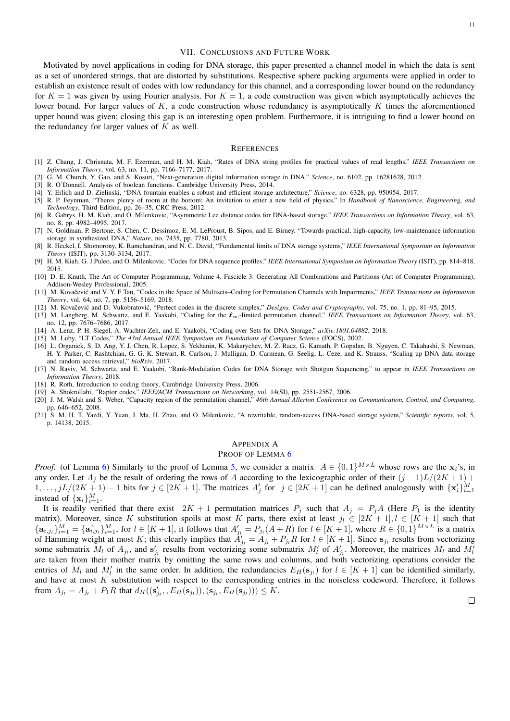#### VII. CONCLUSIONS AND FUTURE WORK

<span id="page-10-4"></span>Motivated by novel applications in coding for DNA storage, this paper presented a channel model in which the data is sent as a set of unordered strings, that are distorted by substitutions. Respective sphere packing arguments were applied in order to establish an existence result of codes with low redundancy for this channel, and a corresponding lower bound on the redundancy for  $K = 1$  was given by using Fourier analysis. For  $K = 1$ , a code construction was given which asymptotically achieves the lower bound. For larger values of  $K$ , a code construction whose redundancy is asymptotically  $K$  times the aforementioned upper bound was given; closing this gap is an interesting open problem. Furthermore, it is intriguing to find a lower bound on the redundancy for larger values of  $K$  as well.

#### **REFERENCES**

- <span id="page-10-8"></span>[1] Z. Chang, J. Chrisnata, M. F. Ezerman, and H. M. Kiah, "Rates of DNA string profiles for practical values of read lengths," *IEEE Transactions on Information Theory*, vol. 63, no. 11, pp. 7166–7177, 2017.
- <span id="page-10-0"></span>[2] G. M. Church, Y. Gao, and S. Kosuri, "Next-generation digital information storage in DNA," *Science*, no. 6102, pp. 16281628, 2012.
- <span id="page-10-21"></span>[3] R. O'Donnell. Analysis of boolean functions. Cambridge University Press, 2014.
- <span id="page-10-2"></span>[4] Y. Erlich and D. Zielinski, "DNA fountain enables a robust and efficient storage architecture," *Science*, no. 6328, pp. 950954, 2017.
- <span id="page-10-7"></span>[5] R. P. Feynman, "Theres plenty of room at the bottom: An invitation to enter a new field of physics," In *Handbook of Nanoscience, Engineering, and Technology*, Third Edition, pp. 26–35, CRC Press, 2012.
- <span id="page-10-9"></span>[6] R. Gabrys, H. M. Kiah, and O. Milenkovic, "Asymmetric Lee distance codes for DNA-based storage," *IEEE Transactions on Information Theory*, vol. 63, no. 8, pp. 4982–4995, 2017.
- <span id="page-10-1"></span>[7] N. Goldman, P. Bertone, S. Chen, C. Dessimoz, E. M. LeProust, B. Sipos, and E. Birney, "Towards practical, high-capacity, low-maintenance information storage in synthesized DNA," *Nature*, no. 7435, pp. 7780, 2013.
- <span id="page-10-10"></span>[8] R. Heckel, I. Shomorony, K. Ramchandran, and N. C. David, "Fundamental limits of DNA storage systems," *IEEE International Symposium on Information Theory* (ISIT), pp. 3130–3134, 2017.
- <span id="page-10-11"></span>[9] H. M. Kiah, G. J.Puleo, and O. Milenkovic, "Codes for DNA sequence profiles," *IEEE International Symposium on Information Theory* (ISIT), pp. 814–818, 2015.
- <span id="page-10-6"></span>[10] D. E. Knuth, The Art of Computer Programming, Volume 4, Fascicle 3: Generating All Combinations and Partitions (Art of Computer Programming), Addison-Wesley Professional, 2005.
- <span id="page-10-15"></span>[11] M. Kovačević and V. Y. F Tan, "Codes in the Space of Multisets–Coding for Permutation Channels with Impairments," IEEE Transactions on Information *Theory*, vol. 64, no. 7, pp. 5156–5169, 2018.
- <span id="page-10-18"></span>[12] M. Kovačević and D. Vukobratović, "Perfect codes in the discrete simplex," Designs, Codes and Cryptography, vol. 75, no. 1, pp. 81–95, 2015.
- <span id="page-10-19"></span>[13] M. Langberg, M. Schwartz, and E. Yaakobi, "Coding for the `∞-limited permutation channel," *IEEE Transactions on Information Theory*, vol. 63, no. 12, pp. 7676–7686, 2017.
- <span id="page-10-14"></span>[14] A. Lenz, P. H. Siegel, A. Wachter-Zeh, and E. Yaakobi, "Coding over Sets for DNA Storage," *arXiv:1801.04882*, 2018.
- <span id="page-10-16"></span>[15] M. Luby, "LT Codes," *The 43rd Annual IEEE Symposium on Foundations of Computer Science* (FOCS), 2002.
- <span id="page-10-3"></span>[16] L. Organick, S. D. Ang, Y. J. Chen, R. Lopez, S. Yekhanin, K. Makarychev, M. Z. Racz, G. Kamath, P. Gopalan, B. Nguyen, C. Takahashi, S. Newman, H. Y. Parker, C. Rashtchian, G. G. K. Stewart, R. Carlson, J. Mulligan, D. Carmean, G. Seelig, L. Ceze, and K. Strauss, "Scaling up DNA data storage and random access retrieval," *bioRxiv*, 2017.
- <span id="page-10-12"></span>[17] N. Raviv, M. Schwartz, and E. Yaakobi, "Rank-Modulation Codes for DNA Storage with Shotgun Sequencing," to appear in *IEEE Transactions on Information Theory*, 2018.
- <span id="page-10-5"></span>[18] R. Roth, Introduction to coding theory, Cambridge University Press, 2006.
- <span id="page-10-17"></span>[19] A. Shokrollahi, "Raptor codes," *IEEE/ACM Transactions on Networking*, vol. 14(SI), pp. 2551-2567, 2006.
- <span id="page-10-20"></span>[20] J. M. Walsh and S. Weber, "Capacity region of the permutation channel," *46th Annual Allerton Conference on Communication, Control, and Computing*, pp. 646–652, 2008.
- <span id="page-10-13"></span>[21] S. M. H. T. Yazdi, Y. Yuan, J. Ma, H. Zhao, and O. Milenkovic, "A rewritable, random-access DNA-based storage system," *Scientific reports*, vol. 5, p. 14138, 2015.

## <span id="page-10-22"></span>APPENDIX A

## PROOF OF LEMMA<sub>[6](#page-9-0)</sub>

*Proof.* (of Lemma [6\)](#page-9-0) Similarly to the proof of Lemma [5,](#page-6-3) we consider a matrix  $A \in \{0,1\}^{M \times L}$  whose rows are the  $x_i$ 's, in any order. Let  $A_j$  be the result of ordering the rows of A according to the lexicographic order of their  $(j-1)L/(2K+1)$  +  $1,\ldots,jL/(2K+1)-1$  bits for  $j\in [2K+1]$ . The matrices  $A'_j$  for  $j\in [2K+1]$  can be defined analogously with  $\{x'_i\}_{i=1}^M$ instead of  $\{\mathbf x_i\}_{i=1}^M$ .

It is readily verified that there exist  $2K + 1$  permutation matrices  $P_j$  such that  $A_j = P_j A$  (Here  $P_1$  is the identity matrix). Moreover, since K substitution spoils at most K parts, there exist at least  $j_l \in [2K+1], l \in [K+1]$  such that  ${a_{i,j}}_{i=1}^M = {a_{i,j}}_{i=1}^M$ , for  $l \in [K+1]$ , it follows that  $A'_{j_l} = P_{j_l}(A+R)$  for  $l \in [K+1]$ , where  $R \in \{0,1\}^{M \times L}$  is a matrix of Hamming weight at most K; this clearly implies that  $A'_{j_l} = A_{j_l} + P_{j_l}R$  for  $l \in [K+1]$ . Since  $s_{j_l}$  results from vectorizing some submatrix  $M_l$  of  $A_{j_l}$ , and  $s'_{j_l}$  results from vectorizing some submatrix  $M'_l$  of  $A'_{j_l}$ . Moreover, the matrices  $M_l$  and  $M'_l$ are taken from their mother matrix by omitting the same rows and columns, and both vectorizing operations consider the entries of  $M_l$  and  $M'_l$  in the same order. In addition, the redundancies  $E_H(\mathbf{s}_{j_l})$  for  $l \in [K+1]$  can be identified similarly, and have at most K substitution with respect to the corresponding entries in the noiseless codeword. Therefore, it follows from  $A_{j_l} = A_{j_l} + P_1 R$  that  $d_H((s'_{j_l}, E_H(s_{j_l})), (s_{j_l}, E_H(s_{j_l}))) \leq K$ .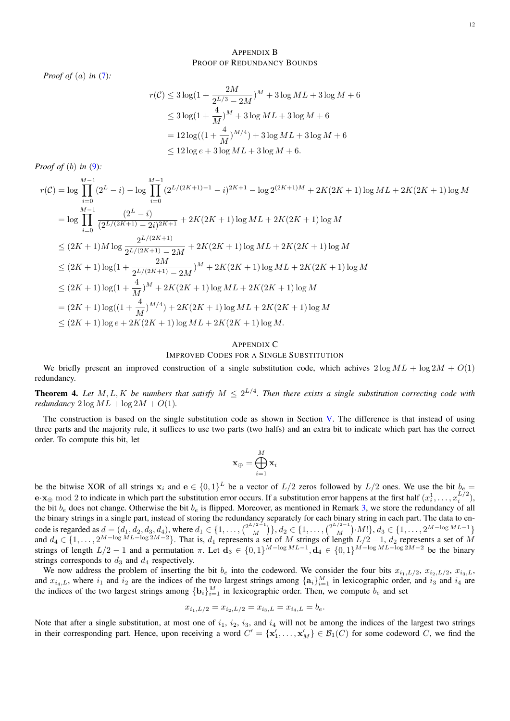## <span id="page-11-1"></span>APPENDIX B PROOF OF REDUNDANCY BOUNDS

*Proof of* (a) *in* [\(7\)](#page-7-0)*:*

$$
r(C) \le 3\log\left(1 + \frac{2M}{2^{L/3} - 2M}\right)^M + 3\log ML + 3\log M + 6
$$
  
\n
$$
\le 3\log\left(1 + \frac{4}{M}\right)^M + 3\log ML + 3\log M + 6
$$
  
\n
$$
= 12\log\left(\left(1 + \frac{4}{M}\right)^{M/4}\right) + 3\log ML + 3\log M + 6
$$
  
\n
$$
\le 12\log e + 3\log ML + 3\log M + 6.
$$

*Proof of* (b) *in* [\(9\)](#page-9-1)*:*

$$
r(\mathcal{C}) = \log \prod_{i=0}^{M-1} (2^{L} - i) - \log \prod_{i=0}^{M-1} (2^{L/(2K+1)-1} - i)^{2K+1} - \log 2^{(2K+1)M} + 2K(2K+1) \log ML + 2K(2K+1) \log M
$$
  
\n
$$
= \log \prod_{i=0}^{M-1} \frac{(2^{L} - i)}{(2^{L/(2K+1)} - 2i)^{2K+1}} + 2K(2K+1) \log ML + 2K(2K+1) \log M
$$
  
\n
$$
\leq (2K+1)M \log \frac{2^{L/(2K+1)}}{2^{L/(2K+1)} - 2M} + 2K(2K+1) \log ML + 2K(2K+1) \log M
$$
  
\n
$$
\leq (2K+1) \log(1 + \frac{2M}{2^{L/(2K+1)} - 2M})^{M} + 2K(2K+1) \log ML + 2K(2K+1) \log M
$$
  
\n
$$
\leq (2K+1) \log(1 + \frac{4}{M})^{M} + 2K(2K+1) \log ML + 2K(2K+1) \log M
$$
  
\n
$$
= (2K+1) \log((1 + \frac{4}{M})^{M/4}) + 2K(2K+1) \log ML + 2K(2K+1) \log M
$$
  
\n
$$
\leq (2K+1) \log e + 2K(2K+1) \log ML + 2K(2K+1) \log M.
$$

## <span id="page-11-0"></span>APPENDIX C IMPROVED CODES FOR A SINGLE SUBSTITUTION

We briefly present an improved construction of a single substitution code, which achives  $2 \log ML + \log 2M + O(1)$ redundancy.

**Theorem 4.** Let  $M, L, K$  be numbers that satisfy  $M \leq 2^{L/4}$ . Then there exists a single substitution correcting code with *redundancy*  $2 \log ML + \log 2M + O(1)$ .

The construction is based on the single substitution code as shown in Section [V.](#page-4-0) The difference is that instead of using three parts and the majority rule, it suffices to use two parts (two halfs) and an extra bit to indicate which part has the correct order. To compute this bit, let

$$
\mathbf{x}_{\oplus} = \bigoplus_{i=1}^M \mathbf{x}_i
$$

be the bitwise XOR of all strings  $x_i$  and  $e \in \{0,1\}^L$  be a vector of  $L/2$  zeros followed by  $L/2$  ones. We use the bit  $b_e =$  $\mathbf{e} \cdot \mathbf{x}_{\oplus}$  mod 2 to indicate in which part the substitution error occurs. If a substitution error happens at the first half  $(x_i^1, \ldots, x_i^{L/2})$ , the bit  $b_e$  does not change. Otherwise the bit  $b_e$  is flipped. Moreover, as mentioned in Remark [3,](#page-8-2) we store the redundancy of all the binary strings in a single part, instead of storing the redundancy separately for each binary string in each part. The data to encode is regarded as  $d = (d_1, d_2, d_3, d_4)$ , where  $d_1 \in \{1, ..., \binom{2^{L/2-1}}{M}$  ${q^{2}-1 \choose M}, d_2 \in \{1, \ldots, \binom{2^{L/2-1}}{M}\}$  $\binom{M}{M}$ ,  $M$ !},  $d_3 \in \{1, \ldots, 2^{M-\log ML-1}\}$ and  $d_4 \in \{1, \ldots, 2^{M-\log ML-\log 2M-2}\}$ . That is,  $d_1$  represents a set of M strings of length  $L/2-1$ ,  $d_2$  represents a set of M strings of length  $L/2 - 1$  and a permutation  $\pi$ . Let  $\mathbf{d}_3 \in \{0,1\}^{M-\log ML - 1}, \mathbf{d}_4 \in \{0,1\}^{M-\log ML - \log 2M - 2}$  be the binary strings corresponds to  $d_3$  and  $d_4$  respectively.

We now address the problem of inserting the bit  $b_e$  into the codeword. We consider the four bits  $x_{i_1,L/2}, x_{i_2,L/2}, x_{i_3,L}$ , and  $x_{i_4,L}$ , where  $i_1$  and  $i_2$  are the indices of the two largest strings among  $\{a_i\}_{i=1}^M$  in lexicographic order, and  $i_3$  and  $i_4$  are the indices of the two largest strings among  $\{b_i\}_{i=1}^M$  in lexicographic order. Then, we compute  $b_e$  and set

$$
x_{i_1,L/2} = x_{i_2,L/2} = x_{i_3,L} = x_{i_4,L} = b_e.
$$

Note that after a single substitution, at most one of  $i_1$ ,  $i_2$ ,  $i_3$ , and  $i_4$  will not be among the indices of the largest two strings in their corresponding part. Hence, upon receiving a word  $C' = {\mathbf{x}'_1, \dots, \mathbf{x}'_M} \in \mathcal{B}_1(C)$  for some codeword C, we find the